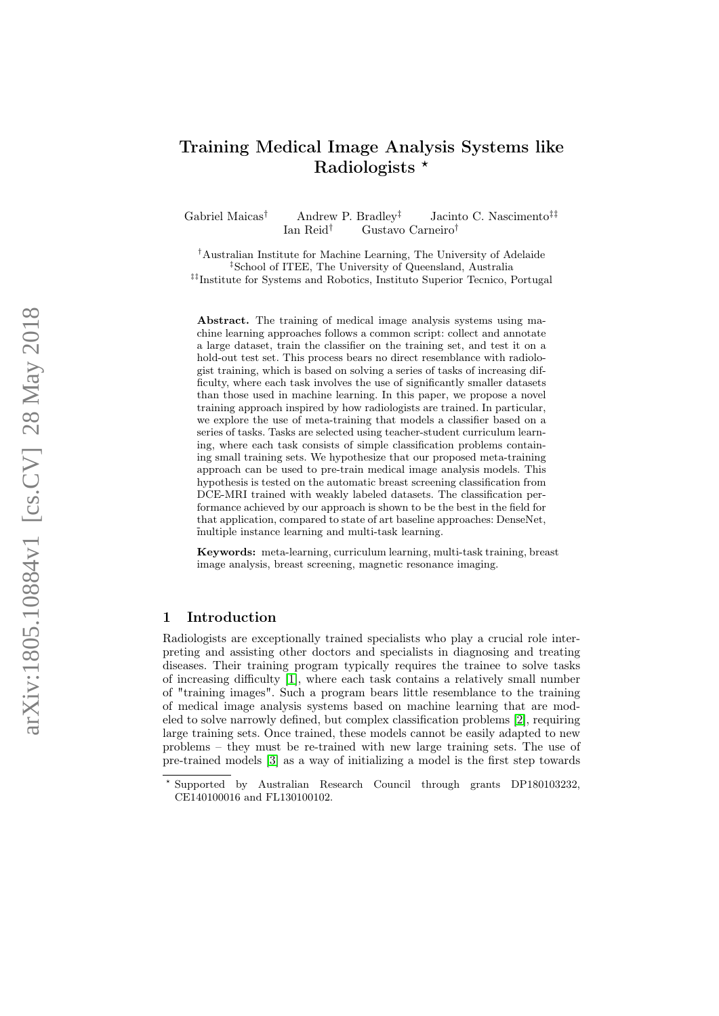# Training Medical Image Analysis Systems like Radiologists \*

Gabriel Maicas

† Andrew P. Bradley Jacinto C. Nascimento<sup>‡‡</sup> Ian Reid † Gustavo Carneiro †

†Australian Institute for Machine Learning, The University of Adelaide ‡School of ITEE, The University of Queensland, Australia ‡‡Institute for Systems and Robotics, Instituto Superior Tecnico, Portugal

Abstract. The training of medical image analysis systems using machine learning approaches follows a common script: collect and annotate a large dataset, train the classifier on the training set, and test it on a hold-out test set. This process bears no direct resemblance with radiologist training, which is based on solving a series of tasks of increasing difficulty, where each task involves the use of significantly smaller datasets than those used in machine learning. In this paper, we propose a novel training approach inspired by how radiologists are trained. In particular, we explore the use of meta-training that models a classifier based on a series of tasks. Tasks are selected using teacher-student curriculum learning, where each task consists of simple classification problems containing small training sets. We hypothesize that our proposed meta-training approach can be used to pre-train medical image analysis models. This hypothesis is tested on the automatic breast screening classification from DCE-MRI trained with weakly labeled datasets. The classification performance achieved by our approach is shown to be the best in the field for that application, compared to state of art baseline approaches: DenseNet, multiple instance learning and multi-task learning. -

Keywords: meta-learning, curriculum learning, multi-task training, breast image analysis, breast screening, magnetic resonance imaging.

## 1 Introduction

Radiologists are exceptionally trained specialists who play a crucial role interpreting and assisting other doctors and specialists in diagnosing and treating diseases. Their training program typically requires the trainee to solve tasks of increasing difficulty [\[1\]](#page-7-0), where each task contains a relatively small number of "training images". Such a program bears little resemblance to the training of medical image analysis systems based on machine learning that are modeled to solve narrowly defined, but complex classification problems [\[2\]](#page-7-1), requiring large training sets. Once trained, these models cannot be easily adapted to new problems – they must be re-trained with new large training sets. The use of pre-trained models [\[3\]](#page-7-2) as a way of initializing a model is the first step towards

<sup>?</sup> Supported by Australian Research Council through grants DP180103232, CE140100016 and FL130100102.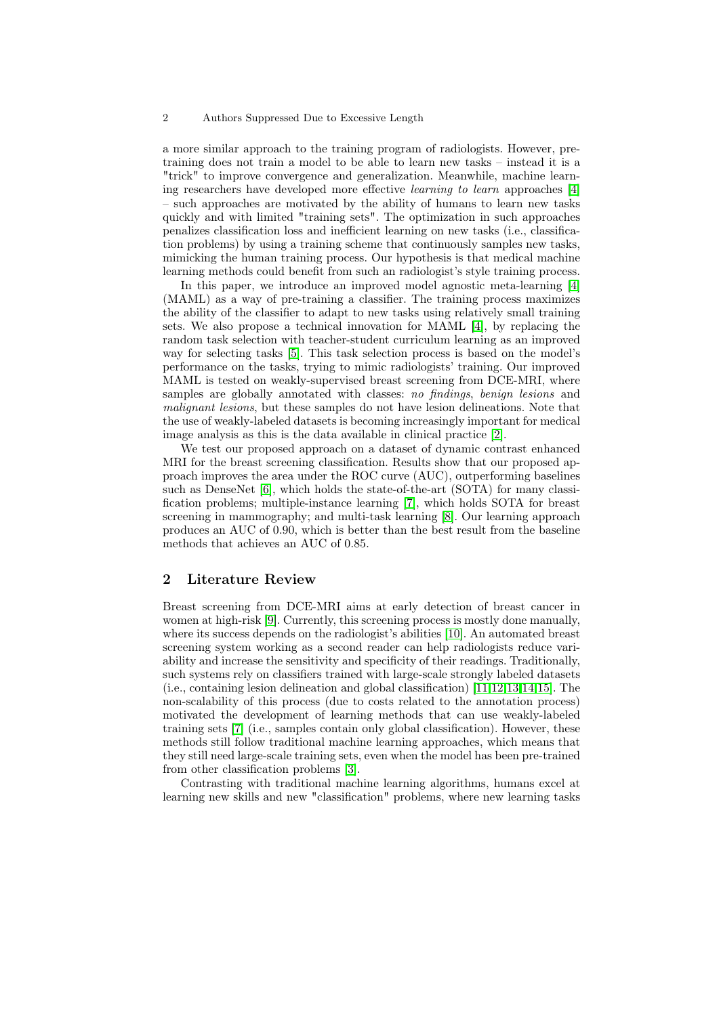#### 2 Authors Suppressed Due to Excessive Length

a more similar approach to the training program of radiologists. However, pretraining does not train a model to be able to learn new tasks – instead it is a "trick" to improve convergence and generalization. Meanwhile, machine learning researchers have developed more effective learning to learn approaches [\[4\]](#page-7-3) – such approaches are motivated by the ability of humans to learn new tasks quickly and with limited "training sets". The optimization in such approaches penalizes classification loss and inefficient learning on new tasks (i.e., classification problems) by using a training scheme that continuously samples new tasks, mimicking the human training process. Our hypothesis is that medical machine learning methods could benefit from such an radiologist's style training process.

In this paper, we introduce an improved model agnostic meta-learning [\[4\]](#page-7-3) (MAML) as a way of pre-training a classifier. The training process maximizes the ability of the classifier to adapt to new tasks using relatively small training sets. We also propose a technical innovation for MAML [\[4\]](#page-7-3), by replacing the random task selection with teacher-student curriculum learning as an improved way for selecting tasks [\[5\]](#page-7-4). This task selection process is based on the model's performance on the tasks, trying to mimic radiologists' training. Our improved MAML is tested on weakly-supervised breast screening from DCE-MRI, where samples are globally annotated with classes: no findings, benign lesions and malignant lesions, but these samples do not have lesion delineations. Note that the use of weakly-labeled datasets is becoming increasingly important for medical image analysis as this is the data available in clinical practice [\[2\]](#page-7-1).

We test our proposed approach on a dataset of dynamic contrast enhanced MRI for the breast screening classification. Results show that our proposed approach improves the area under the ROC curve (AUC), outperforming baselines such as DenseNet [\[6\]](#page-7-5), which holds the state-of-the-art (SOTA) for many classification problems; multiple-instance learning [\[7\]](#page-7-6), which holds SOTA for breast screening in mammography; and multi-task learning [\[8\]](#page-7-7). Our learning approach produces an AUC of 0.90, which is better than the best result from the baseline methods that achieves an AUC of 0.85.

## 2 Literature Review

Breast screening from DCE-MRI aims at early detection of breast cancer in women at high-risk [\[9\]](#page-7-8). Currently, this screening process is mostly done manually, where its success depends on the radiologist's abilities [\[10\]](#page-7-9). An automated breast screening system working as a second reader can help radiologists reduce variability and increase the sensitivity and specificity of their readings. Traditionally, such systems rely on classifiers trained with large-scale strongly labeled datasets (i.e., containing lesion delineation and global classification) [\[11,](#page-7-10)[12,](#page-7-11)[13,](#page-7-12)[14,](#page-7-13)[15\]](#page-7-14). The non-scalability of this process (due to costs related to the annotation process) motivated the development of learning methods that can use weakly-labeled training sets [\[7\]](#page-7-6) (i.e., samples contain only global classification). However, these methods still follow traditional machine learning approaches, which means that they still need large-scale training sets, even when the model has been pre-trained from other classification problems [\[3\]](#page-7-2).

Contrasting with traditional machine learning algorithms, humans excel at learning new skills and new "classification" problems, where new learning tasks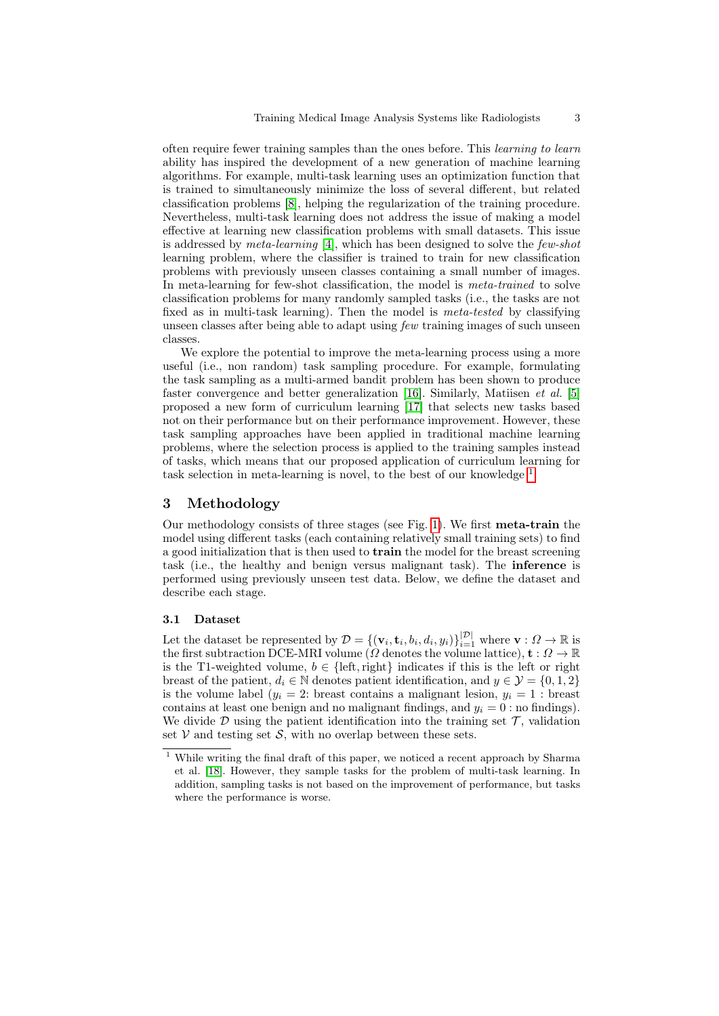often require fewer training samples than the ones before. This learning to learn ability has inspired the development of a new generation of machine learning algorithms. For example, multi-task learning uses an optimization function that is trained to simultaneously minimize the loss of several different, but related classification problems [\[8\]](#page-7-7), helping the regularization of the training procedure. Nevertheless, multi-task learning does not address the issue of making a model effective at learning new classification problems with small datasets. This issue is addressed by meta-learning [\[4\]](#page-7-3), which has been designed to solve the few-shot learning problem, where the classifier is trained to train for new classification problems with previously unseen classes containing a small number of images. In meta-learning for few-shot classification, the model is meta-trained to solve classification problems for many randomly sampled tasks (i.e., the tasks are not fixed as in multi-task learning). Then the model is meta-tested by classifying unseen classes after being able to adapt using few training images of such unseen classes.

We explore the potential to improve the meta-learning process using a more useful (i.e., non random) task sampling procedure. For example, formulating the task sampling as a multi-armed bandit problem has been shown to produce faster convergence and better generalization [\[16\]](#page-7-15). Similarly, Matiisen *et al.* [\[5\]](#page-7-4) proposed a new form of curriculum learning [\[17\]](#page-7-16) that selects new tasks based not on their performance but on their performance improvement. However, these task sampling approaches have been applied in traditional machine learning problems, where the selection process is applied to the training samples instead of tasks, which means that our proposed application of curriculum learning for task selection in meta-learning is novel, to the best of our knowledge <sup>[1](#page-2-0)</sup>.

## 3 Methodology

Our methodology consists of three stages (see Fig. [1\)](#page-3-0). We first meta-train the model using different tasks (each containing relatively small training sets) to find a good initialization that is then used to train the model for the breast screening task (i.e., the healthy and benign versus malignant task). The inference is performed using previously unseen test data. Below, we define the dataset and describe each stage.

#### <span id="page-2-1"></span>3.1 Dataset

Let the dataset be represented by  $\mathcal{D} = \{(\mathbf{v}_i, \mathbf{t}_i, b_i, d_i, y_i)\}_{i=1}^{|\mathcal{D}|}$  where  $\mathbf{v} : \mathcal{Q} \to \mathbb{R}$  is the first subtraction DCE-MRI volume ( $\Omega$  denotes the volume lattice),  $\mathbf{t} : \Omega \to \mathbb{R}$ is the T1-weighted volume,  $b \in \{\text{left}, \text{right}\}\$  indicates if this is the left or right breast of the patient,  $d_i \in \mathbb{N}$  denotes patient identification, and  $y \in \mathcal{Y} = \{0, 1, 2\}$ is the volume label  $(y_i = 2$ : breast contains a malignant lesion,  $y_i = 1$ : breast contains at least one benign and no malignant findings, and  $y_i = 0$ : no findings). We divide  $\mathcal D$  using the patient identification into the training set  $\mathcal T$ , validation set  $V$  and testing set  $S$ , with no overlap between these sets.

<span id="page-2-0"></span> $^{\rm 1}$  While writing the final draft of this paper, we noticed a recent approach by Sharma et al. [\[18\]](#page-7-17). However, they sample tasks for the problem of multi-task learning. In addition, sampling tasks is not based on the improvement of performance, but tasks where the performance is worse.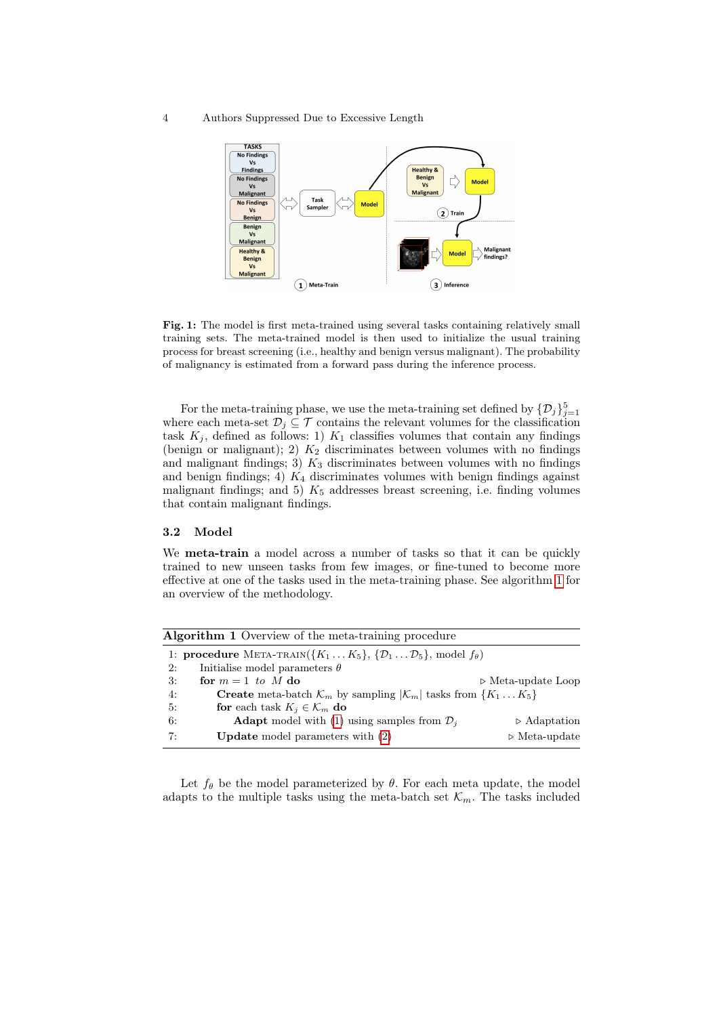#### <span id="page-3-0"></span>4 Authors Suppressed Due to Excessive Length



Fig. 1: The model is first meta-trained using several tasks containing relatively small training sets. The meta-trained model is then used to initialize the usual training process for breast screening (i.e., healthy and benign versus malignant). The probability of malignancy is estimated from a forward pass during the inference process.

For the meta-training phase, we use the meta-training set defined by  $\{\mathcal{D}_j\}_{j=1}^5$ where each meta-set  $\mathcal{D}_j \subseteq \mathcal{T}$  contains the relevant volumes for the classification task  $K_i$ , defined as follows: 1)  $K_1$  classifies volumes that contain any findings (benign or malignant); 2)  $K_2$  discriminates between volumes with no findings and malignant findings; 3)  $K_3$  discriminates between volumes with no findings and benign findings; 4)  $K_4$  discriminates volumes with benign findings against malignant findings; and 5)  $K_5$  addresses breast screening, i.e. finding volumes that contain malignant findings.

#### 3.2 Model

We meta-train a model across a number of tasks so that it can be quickly trained to new unseen tasks from few images, or fine-tuned to become more effective at one of the tasks used in the meta-training phase. See algorithm [1](#page-3-1) for an overview of the methodology.

<span id="page-3-1"></span>

| <b>Algorithm 1</b> Overview of the meta-training procedure                                                         |                                                                                                       |                                   |  |  |  |  |  |
|--------------------------------------------------------------------------------------------------------------------|-------------------------------------------------------------------------------------------------------|-----------------------------------|--|--|--|--|--|
| 1: <b>procedure</b> META-TRAIN( $\{K_1 \dots K_5\}$ , $\{\mathcal{D}_1 \dots \mathcal{D}_5\}$ , model $f_\theta$ ) |                                                                                                       |                                   |  |  |  |  |  |
| 2:                                                                                                                 | Initialise model parameters $\theta$                                                                  |                                   |  |  |  |  |  |
| 3:                                                                                                                 | for $m = 1$ to M do                                                                                   | $\triangleright$ Meta-update Loop |  |  |  |  |  |
| 4:                                                                                                                 | <b>Create</b> meta-batch $\mathcal{K}_m$ by sampling $ \mathcal{K}_m $ tasks from $\{K_1 \dots K_5\}$ |                                   |  |  |  |  |  |
| 5:                                                                                                                 | for each task $K_i \in \mathcal{K}_m$ do                                                              |                                   |  |  |  |  |  |
| 6:                                                                                                                 | <b>Adapt</b> model with (1) using samples from $\mathcal{D}_i$                                        | $\triangleright$ Adaptation       |  |  |  |  |  |
| 7:                                                                                                                 | <b>Update</b> model parameters with $(2)$                                                             | $\triangleright$ Meta-update      |  |  |  |  |  |

Let  $f_{\theta}$  be the model parameterized by  $\theta$ . For each meta update, the model adapts to the multiple tasks using the meta-batch set  $\mathcal{K}_m$ . The tasks included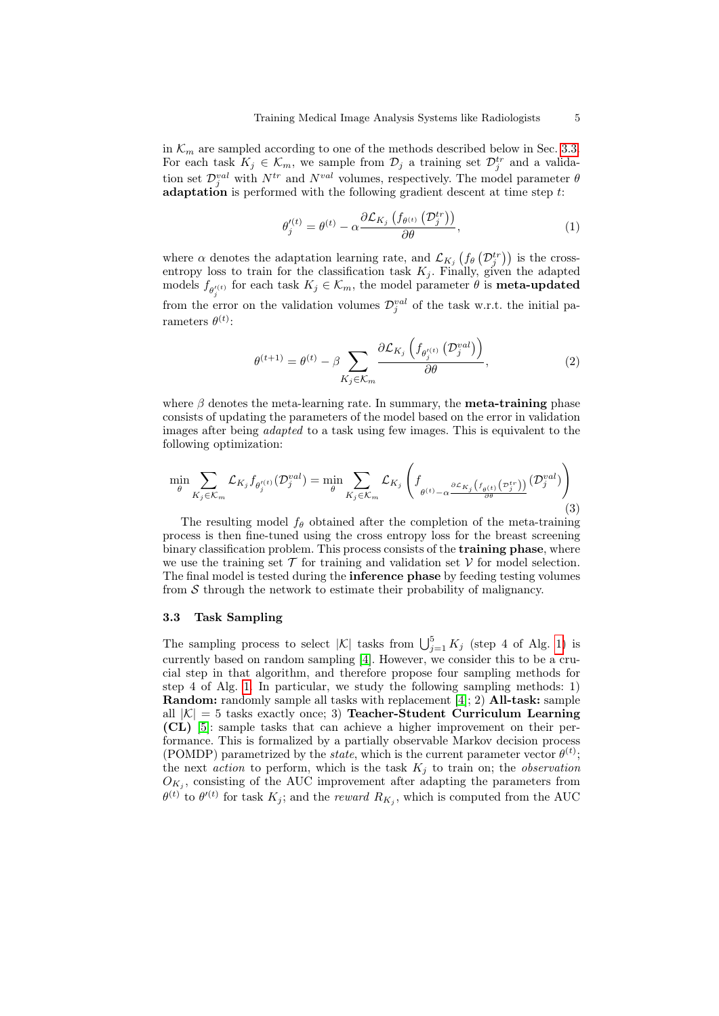in  $\mathcal{K}_m$  are sampled according to one of the methods described below in Sec. [3.3.](#page-4-2) For each task  $K_j \in \mathcal{K}_m$ , we sample from  $\mathcal{D}_j$  a training set  $\mathcal{D}_j^{tr}$  and a validation set  $\mathcal{D}_j^{val}$  with  $N^{tr}$  and  $N^{val}$  volumes, respectively. The model parameter  $\theta$ adaptation is performed with the following gradient descent at time step  $t$ :

<span id="page-4-0"></span>
$$
\theta_{j}^{\prime(t)} = \theta^{(t)} - \alpha \frac{\partial \mathcal{L}_{K_{j}}\left(f_{\theta^{(t)}}\left(\mathcal{D}_{j}^{tr}\right)\right)}{\partial \theta},\tag{1}
$$

where  $\alpha$  denotes the adaptation learning rate, and  $\mathcal{L}_{K_j}\left(f_{\theta}\left(\mathcal{D}_j^{tr}\right)\right)$  is the crossentropy loss to train for the classification task  $K_j$ . Finally, given the adapted models  $f_{\theta_j^{(t)}}$  for each task  $K_j \in \mathcal{K}_m$ , the model parameter  $\theta$  is **meta-updated** from the error on the validation volumes  $\mathcal{D}_j^{val}$  of the task w.r.t. the initial parameters  $\theta^{(t)}$ :

<span id="page-4-1"></span>
$$
\theta^{(t+1)} = \theta^{(t)} - \beta \sum_{K_j \in \mathcal{K}_m} \frac{\partial \mathcal{L}_{K_j} \left( f_{\theta_j^{\prime (t)}} \left( \mathcal{D}_j^{val} \right) \right)}{\partial \theta}, \tag{2}
$$

where  $\beta$  denotes the meta-learning rate. In summary, the **meta-training** phase consists of updating the parameters of the model based on the error in validation images after being *adapted* to a task using few images. This is equivalent to the following optimization:

$$
\min_{\theta} \sum_{K_j \in \mathcal{K}_m} \mathcal{L}_{K_j} f_{\theta_j^{(t)}}(\mathcal{D}_j^{val}) = \min_{\theta} \sum_{K_j \in \mathcal{K}_m} \mathcal{L}_{K_j} \left( f_{\theta^{(t)} - \alpha \frac{\partial \mathcal{L}_{K_j} \left( f_{\theta^{(t)}}(\mathcal{D}_j^{tr}) \right)}{\partial \theta}}(\mathcal{D}_j^{val}) \right)
$$
(3)

The resulting model  $f_{\theta}$  obtained after the completion of the meta-training process is then fine-tuned using the cross entropy loss for the breast screening binary classification problem. This process consists of the **training phase**, where we use the training set  $\mathcal T$  for training and validation set  $\mathcal V$  for model selection. The final model is tested during the **inference phase** by feeding testing volumes from  $\mathcal S$  through the network to estimate their probability of malignancy.

### <span id="page-4-2"></span>3.3 Task Sampling

The sampling process to select |K| tasks from  $\bigcup_{j=1}^{5} K_j$  (step 4 of Alg. [1\)](#page-3-1) is currently based on random sampling [\[4\]](#page-7-3). However, we consider this to be a crucial step in that algorithm, and therefore propose four sampling methods for step 4 of Alg. [1.](#page-3-1) In particular, we study the following sampling methods: 1) Random: randomly sample all tasks with replacement [\[4\]](#page-7-3); 2) All-task: sample all  $|\mathcal{K}| = 5$  tasks exactly once; 3) **Teacher-Student Curriculum Learning** (CL) [\[5\]](#page-7-4): sample tasks that can achieve a higher improvement on their performance. This is formalized by a partially observable Markov decision process (POMDP) parametrized by the *state*, which is the current parameter vector  $\theta^{(t)}$ ; the next *action* to perform, which is the task  $K_i$  to train on; the *observation*  $O_{K_j}$ , consisting of the AUC improvement after adapting the parameters from  $\theta^{(t)}$  to  $\theta'^{(t)}$  for task  $K_j$ ; and the *reward*  $R_{K_j}$ , which is computed from the AUC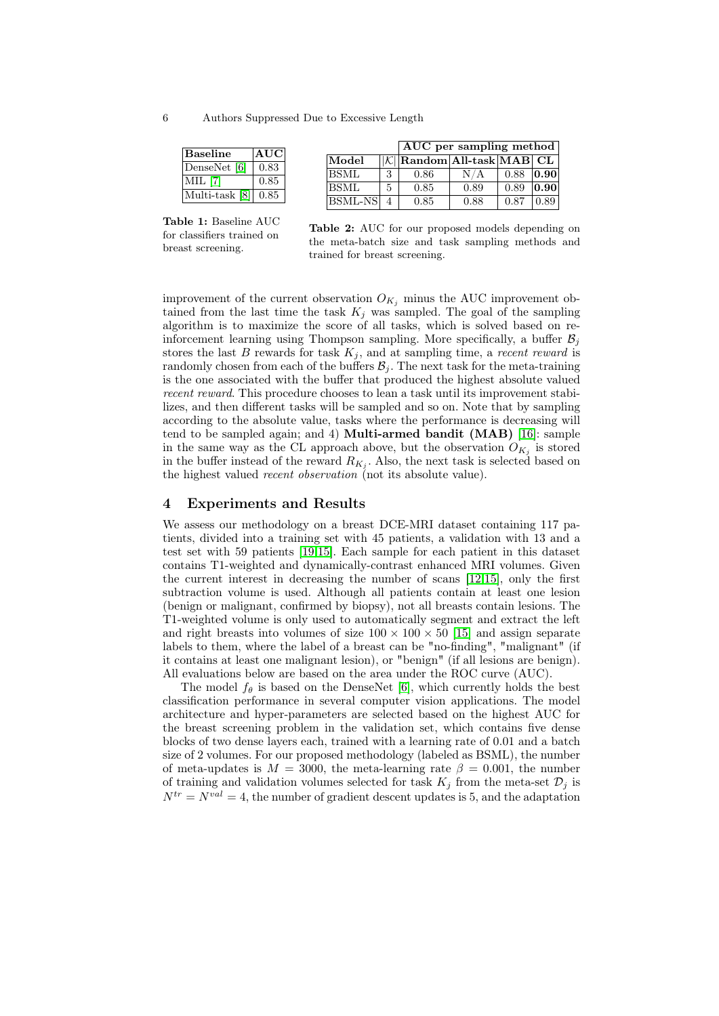<span id="page-5-0"></span>

| $\sf Baseline$ | <b>AUC</b> |
|----------------|------------|
| DenseNet [6]   | 0.83       |
| MIL [7]        | 0.85       |
| Multi-task [8] | 0.85       |

|              |                | AUC per sampling method                                                     |      |      |                |  |
|--------------|----------------|-----------------------------------------------------------------------------|------|------|----------------|--|
| $\bf{Model}$ |                | $  \mathcal{K}  \textbf{Random} \textbf{All-task} \textbf{MAB} \textbf{CL}$ |      |      |                |  |
| <b>BSML</b>  | 3              | 0.86                                                                        | N/A  | 0.88 | $ 0.90\rangle$ |  |
| BSML         | 5.             | 0.85                                                                        | 0.89 | 0.89 | $ 0.90\rangle$ |  |
| BSML-NS      | $\overline{4}$ | 0.85                                                                        | 0.88 | 0.87 | 0.89           |  |

Table 1: Baseline AUC for classifiers trained on breast screening.

Table 2: AUC for our proposed models depending on the meta-batch size and task sampling methods and trained for breast screening.

improvement of the current observation  $O_{K_i}$  minus the AUC improvement obtained from the last time the task  $K_i$  was sampled. The goal of the sampling algorithm is to maximize the score of all tasks, which is solved based on reinforcement learning using Thompson sampling. More specifically, a buffer  $B_j$ stores the last B rewards for task  $K_j$ , and at sampling time, a recent reward is randomly chosen from each of the buffers  $\mathcal{B}_i$ . The next task for the meta-training is the one associated with the buffer that produced the highest absolute valued recent reward. This procedure chooses to lean a task until its improvement stabilizes, and then different tasks will be sampled and so on. Note that by sampling according to the absolute value, tasks where the performance is decreasing will tend to be sampled again; and 4) Multi-armed bandit (MAB) [\[16\]](#page-7-15): sample in the same way as the CL approach above, but the observation  $O_{K_j}$  is stored in the buffer instead of the reward  $R_{K_j}$ . Also, the next task is selected based on the highest valued recent observation (not its absolute value).

## 4 Experiments and Results

We assess our methodology on a breast DCE-MRI dataset containing 117 patients, divided into a training set with 45 patients, a validation with 13 and a test set with 59 patients [\[19](#page-7-18)[,15\]](#page-7-14). Each sample for each patient in this dataset contains T1-weighted and dynamically-contrast enhanced MRI volumes. Given the current interest in decreasing the number of scans [\[12,](#page-7-11)[15\]](#page-7-14), only the first subtraction volume is used. Although all patients contain at least one lesion (benign or malignant, confirmed by biopsy), not all breasts contain lesions. The T1-weighted volume is only used to automatically segment and extract the left and right breasts into volumes of size  $100 \times 100 \times 50$  [\[15\]](#page-7-14) and assign separate labels to them, where the label of a breast can be "no-finding", "malignant" (if it contains at least one malignant lesion), or "benign" (if all lesions are benign). All evaluations below are based on the area under the ROC curve (AUC).

The model  $f_\theta$  is based on the DenseNet [\[6\]](#page-7-5), which currently holds the best classification performance in several computer vision applications. The model architecture and hyper-parameters are selected based on the highest AUC for the breast screening problem in the validation set, which contains five dense blocks of two dense layers each, trained with a learning rate of 0.01 and a batch size of 2 volumes. For our proposed methodology (labeled as BSML), the number of meta-updates is  $M = 3000$ , the meta-learning rate  $\beta = 0.001$ , the number of training and validation volumes selected for task  $K_j$  from the meta-set  $\mathcal{D}_j$  is  $N^{tr} = N^{val} = 4$ , the number of gradient descent updates is 5, and the adaptation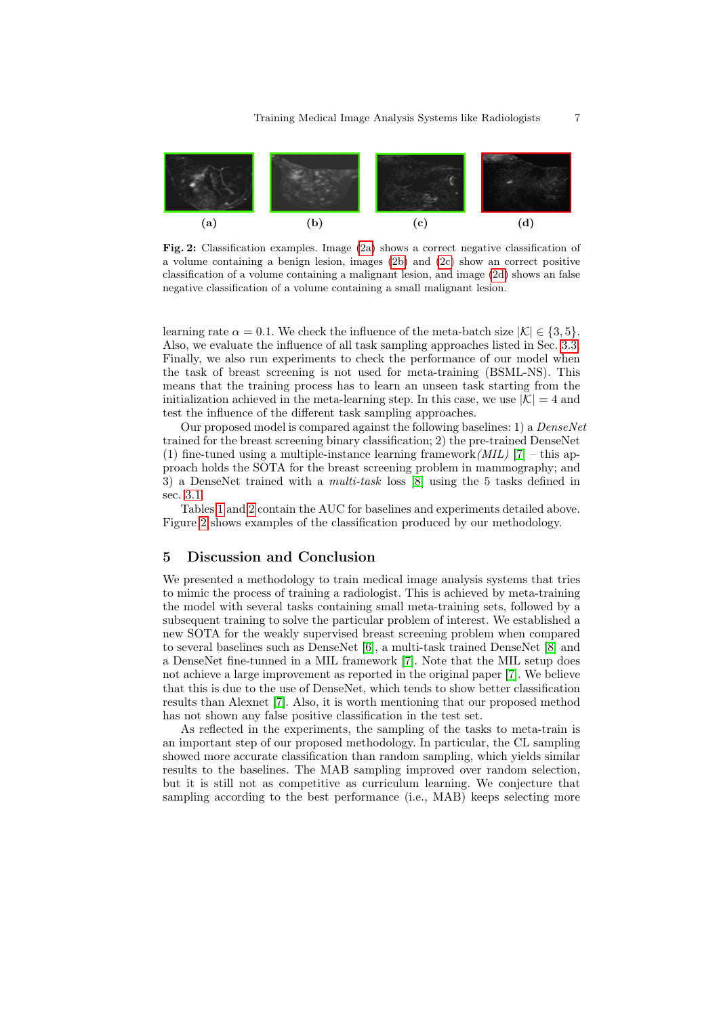<span id="page-6-4"></span>

<span id="page-6-3"></span><span id="page-6-2"></span><span id="page-6-1"></span><span id="page-6-0"></span>Fig. 2: Classification examples. Image [\(2a\)](#page-6-0) shows a correct negative classification of a volume containing a benign lesion, images [\(2b\)](#page-6-1) and [\(2c\)](#page-6-2) show an correct positive classification of a volume containing a malignant lesion, and image [\(2d\)](#page-6-3) shows an false negative classification of a volume containing a small malignant lesion.

learning rate  $\alpha = 0.1$ . We check the influence of the meta-batch size  $|\mathcal{K}| \in \{3, 5\}$ . Also, we evaluate the influence of all task sampling approaches listed in Sec. [3.3.](#page-4-2) Finally, we also run experiments to check the performance of our model when the task of breast screening is not used for meta-training (BSML-NS). This means that the training process has to learn an unseen task starting from the initialization achieved in the meta-learning step. In this case, we use  $|\mathcal{K}| = 4$  and test the influence of the different task sampling approaches.

Our proposed model is compared against the following baselines: 1) a  $DenseNet$ trained for the breast screening binary classification; 2) the pre-trained DenseNet (1) fine-tuned using a multiple-instance learning framework  $(MIL)$  [\[7\]](#page-7-6) – this approach holds the SOTA for the breast screening problem in mammography; and 3) a DenseNet trained with a *multi-task* loss  $\overline{8}$  using the 5 tasks defined in sec. [3.1.](#page-2-1)

Tables [1](#page-5-0) and [2](#page-5-0) contain the AUC for baselines and experiments detailed above. Figure [2](#page-6-4) shows examples of the classification produced by our methodology.

## 5 Discussion and Conclusion

We presented a methodology to train medical image analysis systems that tries to mimic the process of training a radiologist. This is achieved by meta-training the model with several tasks containing small meta-training sets, followed by a subsequent training to solve the particular problem of interest. We established a new SOTA for the weakly supervised breast screening problem when compared to several baselines such as DenseNet [\[6\]](#page-7-5), a multi-task trained DenseNet [\[8\]](#page-7-7) and a DenseNet fine-tunned in a MIL framework [\[7\]](#page-7-6). Note that the MIL setup does not achieve a large improvement as reported in the original paper [\[7\]](#page-7-6). We believe that this is due to the use of DenseNet, which tends to show better classification results than Alexnet [\[7\]](#page-7-6). Also, it is worth mentioning that our proposed method has not shown any false positive classification in the test set.

As reflected in the experiments, the sampling of the tasks to meta-train is an important step of our proposed methodology. In particular, the CL sampling showed more accurate classification than random sampling, which yields similar results to the baselines. The MAB sampling improved over random selection, but it is still not as competitive as curriculum learning. We conjecture that sampling according to the best performance (i.e., MAB) keeps selecting more